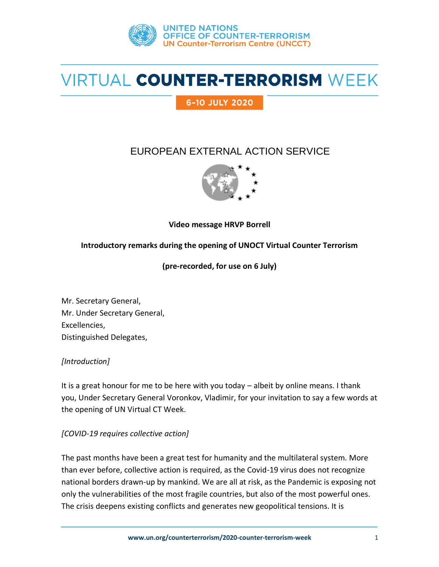

# VIRTUAL COUNTER-TERRORISM WEEK

6-10 JULY 2020

# EUROPEAN EXTERNAL ACTION SERVICE



**Video message HRVP Borrell**

### **Introductory remarks during the opening of UNOCT Virtual Counter Terrorism**

**(pre-recorded, for use on 6 July)**

Mr. Secretary General, Mr. Under Secretary General, Excellencies, Distinguished Delegates,

### *[Introduction]*

It is a great honour for me to be here with you today – albeit by online means. I thank you, Under Secretary General Voronkov, Vladimir, for your invitation to say a few words at the opening of UN Virtual CT Week.

### *[COVID-19 requires collective action]*

The past months have been a great test for humanity and the multilateral system. More than ever before, collective action is required, as the Covid-19 virus does not recognize national borders drawn-up by mankind. We are all at risk, as the Pandemic is exposing not only the vulnerabilities of the most fragile countries, but also of the most powerful ones. The crisis deepens existing conflicts and generates new geopolitical tensions. It is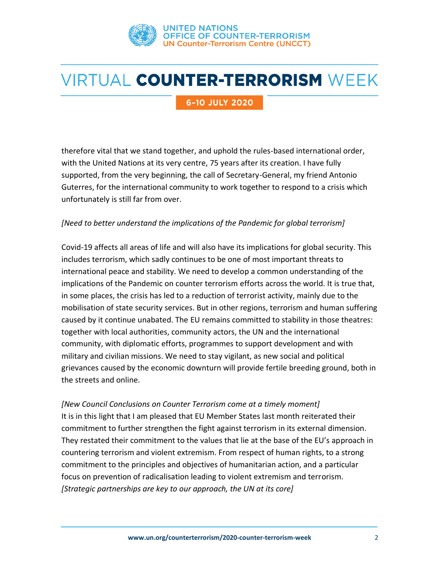

# VIRTUAL COUNTER-TERRORISM WEEK

### 6-10 JULY 2020

therefore vital that we stand together, and uphold the rules-based international order, with the United Nations at its very centre, 75 years after its creation. I have fully supported, from the very beginning, the call of Secretary-General, my friend Antonio Guterres, for the international community to work together to respond to a crisis which unfortunately is still far from over.

#### *[Need to better understand the implications of the Pandemic for global terrorism]*

Covid-19 affects all areas of life and will also have its implications for global security. This includes terrorism, which sadly continues to be one of most important threats to international peace and stability. We need to develop a common understanding of the implications of the Pandemic on counter terrorism efforts across the world. It is true that, in some places, the crisis has led to a reduction of terrorist activity, mainly due to the mobilisation of state security services. But in other regions, terrorism and human suffering caused by it continue unabated. The EU remains committed to stability in those theatres: together with local authorities, community actors, the UN and the international community, with diplomatic efforts, programmes to support development and with military and civilian missions. We need to stay vigilant, as new social and political grievances caused by the economic downturn will provide fertile breeding ground, both in the streets and online.

*[New Council Conclusions on Counter Terrorism come at a timely moment]* It is in this light that I am pleased that EU Member States last month reiterated their commitment to further strengthen the fight against terrorism in its external dimension. They restated their commitment to the values that lie at the base of the EU's approach in countering terrorism and violent extremism. From respect of human rights, to a strong commitment to the principles and objectives of humanitarian action, and a particular focus on prevention of radicalisation leading to violent extremism and terrorism. *[Strategic partnerships are key to our approach, the UN at its core]*